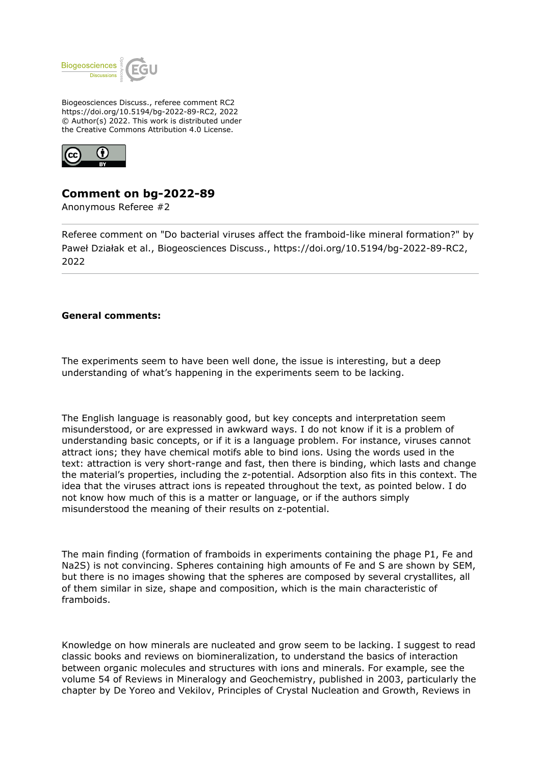

Biogeosciences Discuss., referee comment RC2 https://doi.org/10.5194/bg-2022-89-RC2, 2022 © Author(s) 2022. This work is distributed under the Creative Commons Attribution 4.0 License.



## **Comment on bg-2022-89**

Anonymous Referee #2

Referee comment on "Do bacterial viruses affect the framboid-like mineral formation?" by Paweł Działak et al., Biogeosciences Discuss., https://doi.org/10.5194/bg-2022-89-RC2, 2022

## **General comments:**

The experiments seem to have been well done, the issue is interesting, but a deep understanding of what's happening in the experiments seem to be lacking.

The English language is reasonably good, but key concepts and interpretation seem misunderstood, or are expressed in awkward ways. I do not know if it is a problem of understanding basic concepts, or if it is a language problem. For instance, viruses cannot attract ions; they have chemical motifs able to bind ions. Using the words used in the text: attraction is very short-range and fast, then there is binding, which lasts and change the material's properties, including the z-potential. Adsorption also fits in this context. The idea that the viruses attract ions is repeated throughout the text, as pointed below. I do not know how much of this is a matter or language, or if the authors simply misunderstood the meaning of their results on z-potential.

The main finding (formation of framboids in experiments containing the phage P1, Fe and Na2S) is not convincing. Spheres containing high amounts of Fe and S are shown by SEM, but there is no images showing that the spheres are composed by several crystallites, all of them similar in size, shape and composition, which is the main characteristic of framboids.

Knowledge on how minerals are nucleated and grow seem to be lacking. I suggest to read classic books and reviews on biomineralization, to understand the basics of interaction between organic molecules and structures with ions and minerals. For example, see the volume 54 of Reviews in Mineralogy and Geochemistry, published in 2003, particularly the chapter by De Yoreo and Vekilov, Principles of Crystal Nucleation and Growth, Reviews in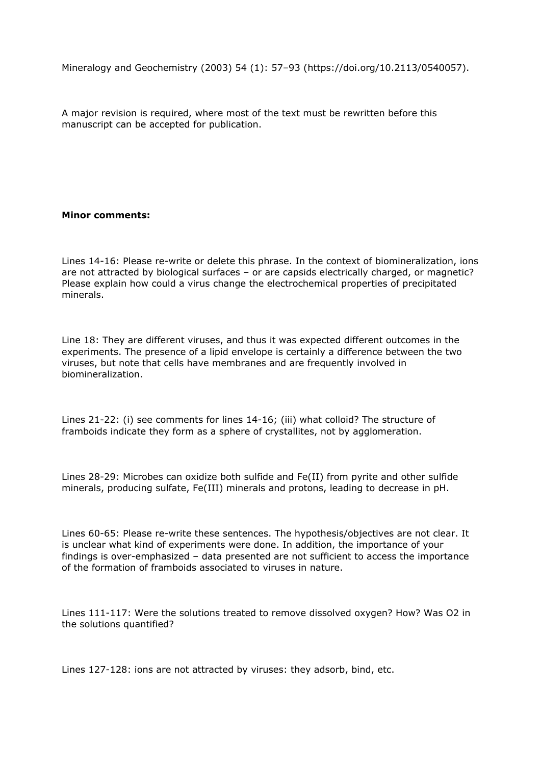Mineralogy and Geochemistry (2003) 54 (1): 57–93 (https://doi.org/10.2113/0540057).

A major revision is required, where most of the text must be rewritten before this manuscript can be accepted for publication.

## **Minor comments:**

Lines 14-16: Please re-write or delete this phrase. In the context of biomineralization, ions are not attracted by biological surfaces – or are capsids electrically charged, or magnetic? Please explain how could a virus change the electrochemical properties of precipitated minerals.

Line 18: They are different viruses, and thus it was expected different outcomes in the experiments. The presence of a lipid envelope is certainly a difference between the two viruses, but note that cells have membranes and are frequently involved in biomineralization.

Lines 21-22: (i) see comments for lines 14-16; (iii) what colloid? The structure of framboids indicate they form as a sphere of crystallites, not by agglomeration.

Lines 28-29: Microbes can oxidize both sulfide and Fe(II) from pyrite and other sulfide minerals, producing sulfate, Fe(III) minerals and protons, leading to decrease in pH.

Lines 60-65: Please re-write these sentences. The hypothesis/objectives are not clear. It is unclear what kind of experiments were done. In addition, the importance of your findings is over-emphasized – data presented are not sufficient to access the importance of the formation of framboids associated to viruses in nature.

Lines 111-117: Were the solutions treated to remove dissolved oxygen? How? Was O2 in the solutions quantified?

Lines 127-128: ions are not attracted by viruses: they adsorb, bind, etc.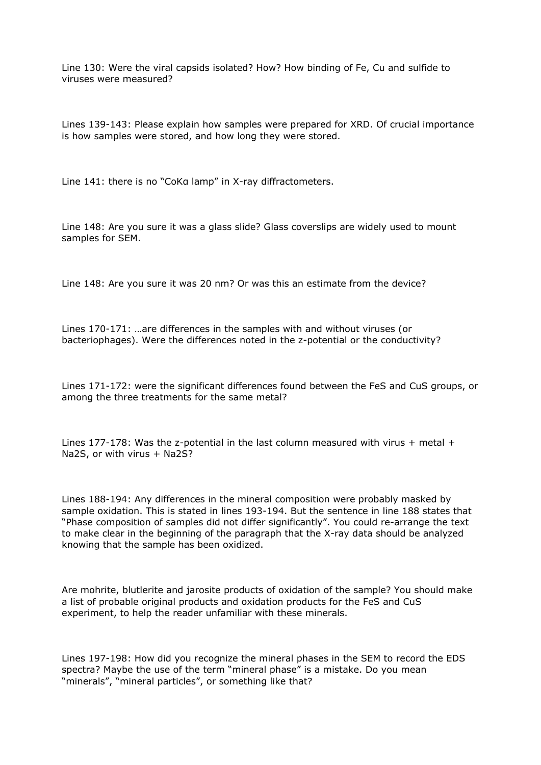Line 130: Were the viral capsids isolated? How? How binding of Fe, Cu and sulfide to viruses were measured?

Lines 139-143: Please explain how samples were prepared for XRD. Of crucial importance is how samples were stored, and how long they were stored.

Line 141: there is no "CoKa lamp" in X-ray diffractometers.

Line 148: Are you sure it was a glass slide? Glass coverslips are widely used to mount samples for SEM.

Line 148: Are you sure it was 20 nm? Or was this an estimate from the device?

Lines 170-171: …are differences in the samples with and without viruses (or bacteriophages). Were the differences noted in the z-potential or the conductivity?

Lines 171-172: were the significant differences found between the FeS and CuS groups, or among the three treatments for the same metal?

Lines 177-178: Was the z-potential in the last column measured with virus  $+$  metal  $+$ Na2S, or with virus + Na2S?

Lines 188-194: Any differences in the mineral composition were probably masked by sample oxidation. This is stated in lines 193-194. But the sentence in line 188 states that "Phase composition of samples did not differ significantly". You could re-arrange the text to make clear in the beginning of the paragraph that the X-ray data should be analyzed knowing that the sample has been oxidized.

Are mohrite, blutlerite and jarosite products of oxidation of the sample? You should make a list of probable original products and oxidation products for the FeS and CuS experiment, to help the reader unfamiliar with these minerals.

Lines 197-198: How did you recognize the mineral phases in the SEM to record the EDS spectra? Maybe the use of the term "mineral phase" is a mistake. Do you mean "minerals", "mineral particles", or something like that?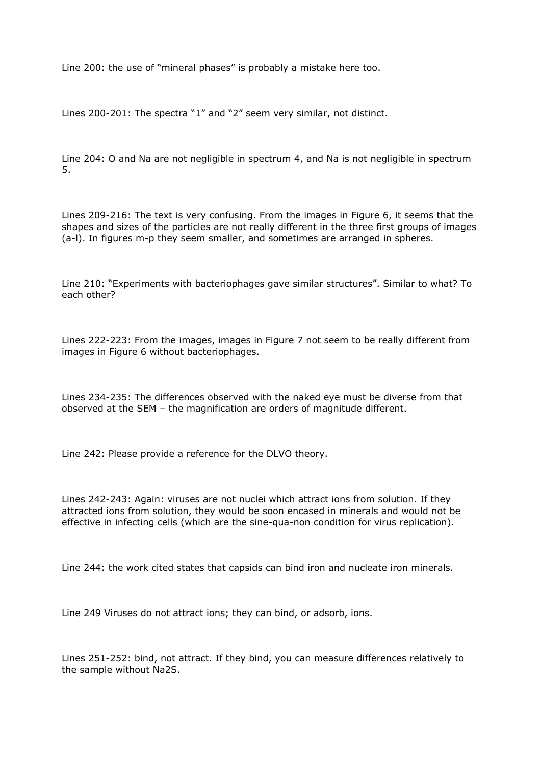Line 200: the use of "mineral phases" is probably a mistake here too.

Lines 200-201: The spectra "1" and "2" seem very similar, not distinct.

Line 204: O and Na are not negligible in spectrum 4, and Na is not negligible in spectrum 5.

Lines 209-216: The text is very confusing. From the images in Figure 6, it seems that the shapes and sizes of the particles are not really different in the three first groups of images (a-l). In figures m-p they seem smaller, and sometimes are arranged in spheres.

Line 210: "Experiments with bacteriophages gave similar structures". Similar to what? To each other?

Lines 222-223: From the images, images in Figure 7 not seem to be really different from images in Figure 6 without bacteriophages.

Lines 234-235: The differences observed with the naked eye must be diverse from that observed at the SEM – the magnification are orders of magnitude different.

Line 242: Please provide a reference for the DLVO theory.

Lines 242-243: Again: viruses are not nuclei which attract ions from solution. If they attracted ions from solution, they would be soon encased in minerals and would not be effective in infecting cells (which are the sine-qua-non condition for virus replication).

Line 244: the work cited states that capsids can bind iron and nucleate iron minerals.

Line 249 Viruses do not attract ions; they can bind, or adsorb, ions.

Lines 251-252: bind, not attract. If they bind, you can measure differences relatively to the sample without Na2S.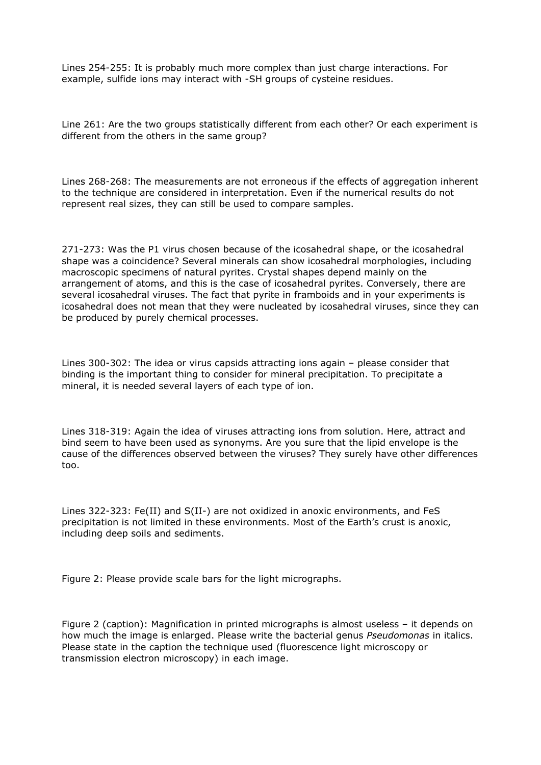Lines 254-255: It is probably much more complex than just charge interactions. For example, sulfide ions may interact with -SH groups of cysteine residues.

Line 261: Are the two groups statistically different from each other? Or each experiment is different from the others in the same group?

Lines 268-268: The measurements are not erroneous if the effects of aggregation inherent to the technique are considered in interpretation. Even if the numerical results do not represent real sizes, they can still be used to compare samples.

271-273: Was the P1 virus chosen because of the icosahedral shape, or the icosahedral shape was a coincidence? Several minerals can show icosahedral morphologies, including macroscopic specimens of natural pyrites. Crystal shapes depend mainly on the arrangement of atoms, and this is the case of icosahedral pyrites. Conversely, there are several icosahedral viruses. The fact that pyrite in framboids and in your experiments is icosahedral does not mean that they were nucleated by icosahedral viruses, since they can be produced by purely chemical processes.

Lines 300-302: The idea or virus capsids attracting ions again – please consider that binding is the important thing to consider for mineral precipitation. To precipitate a mineral, it is needed several layers of each type of ion.

Lines 318-319: Again the idea of viruses attracting ions from solution. Here, attract and bind seem to have been used as synonyms. Are you sure that the lipid envelope is the cause of the differences observed between the viruses? They surely have other differences too.

Lines 322-323: Fe(II) and S(II-) are not oxidized in anoxic environments, and FeS precipitation is not limited in these environments. Most of the Earth's crust is anoxic, including deep soils and sediments.

Figure 2: Please provide scale bars for the light micrographs.

Figure 2 (caption): Magnification in printed micrographs is almost useless – it depends on how much the image is enlarged. Please write the bacterial genus *Pseudomonas* in italics. Please state in the caption the technique used (fluorescence light microscopy or transmission electron microscopy) in each image.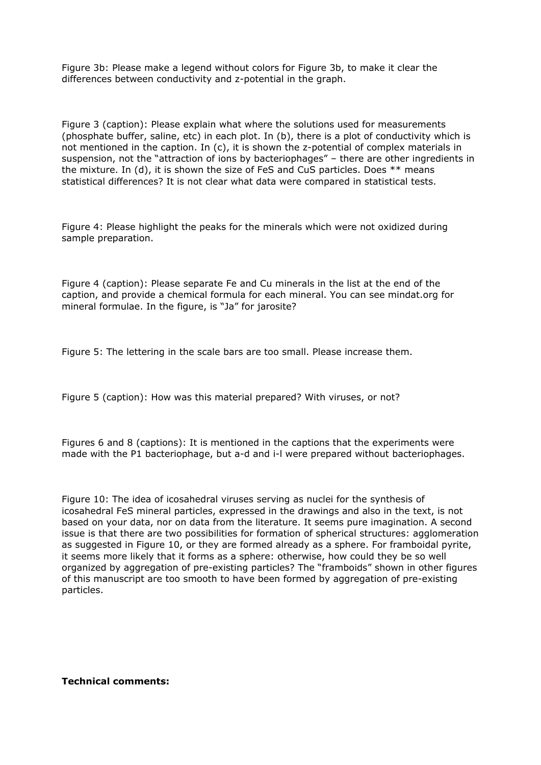Figure 3b: Please make a legend without colors for Figure 3b, to make it clear the differences between conductivity and z-potential in the graph.

Figure 3 (caption): Please explain what where the solutions used for measurements (phosphate buffer, saline, etc) in each plot. In (b), there is a plot of conductivity which is not mentioned in the caption. In (c), it is shown the z-potential of complex materials in suspension, not the "attraction of ions by bacteriophages" – there are other ingredients in the mixture. In (d), it is shown the size of FeS and CuS particles. Does \*\* means statistical differences? It is not clear what data were compared in statistical tests.

Figure 4: Please highlight the peaks for the minerals which were not oxidized during sample preparation.

Figure 4 (caption): Please separate Fe and Cu minerals in the list at the end of the caption, and provide a chemical formula for each mineral. You can see mindat.org for mineral formulae. In the figure, is "Ja" for jarosite?

Figure 5: The lettering in the scale bars are too small. Please increase them.

Figure 5 (caption): How was this material prepared? With viruses, or not?

Figures 6 and 8 (captions): It is mentioned in the captions that the experiments were made with the P1 bacteriophage, but a-d and i-l were prepared without bacteriophages.

Figure 10: The idea of icosahedral viruses serving as nuclei for the synthesis of icosahedral FeS mineral particles, expressed in the drawings and also in the text, is not based on your data, nor on data from the literature. It seems pure imagination. A second issue is that there are two possibilities for formation of spherical structures: agglomeration as suggested in Figure 10, or they are formed already as a sphere. For framboidal pyrite, it seems more likely that it forms as a sphere: otherwise, how could they be so well organized by aggregation of pre-existing particles? The "framboids" shown in other figures of this manuscript are too smooth to have been formed by aggregation of pre-existing particles.

**Technical comments:**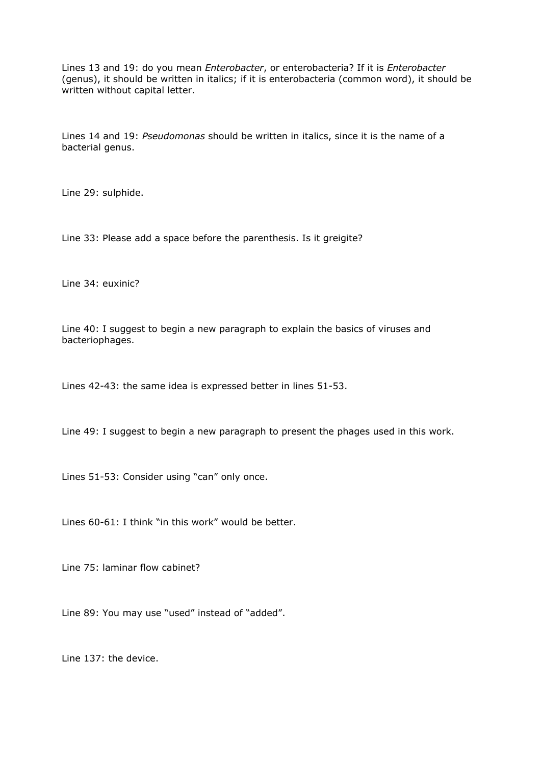Lines 13 and 19: do you mean *Enterobacter*, or enterobacteria? If it is *Enterobacter* (genus), it should be written in italics; if it is enterobacteria (common word), it should be written without capital letter.

Lines 14 and 19: *Pseudomonas* should be written in italics, since it is the name of a bacterial genus.

Line 29: sulphide.

Line 33: Please add a space before the parenthesis. Is it greigite?

Line 34: euxinic?

Line 40: I suggest to begin a new paragraph to explain the basics of viruses and bacteriophages.

Lines 42-43: the same idea is expressed better in lines 51-53.

Line 49: I suggest to begin a new paragraph to present the phages used in this work.

Lines 51-53: Consider using "can" only once.

Lines 60-61: I think "in this work" would be better.

Line 75: laminar flow cabinet?

Line 89: You may use "used" instead of "added".

Line 137: the device.